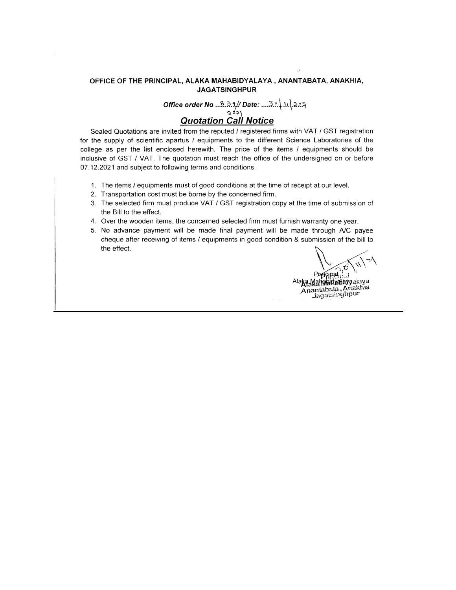#### OFFICE OF THE PRINCIPAL, ALAKA MAHABIDYALAYA, ANANTABATA, ANAKHIA, **JAGATSINGHPUR**

Office order No  $\frac{3.3.3}{262}$  Date:  $\frac{3.3.1}{202}$  Date:

#### **Quotation Call Notice**

Sealed Quotations are invited from the reputed / registered firms with VAT / GST registration for the supply of scientific apartus / equipments to the different Science Laboratories of the college as per the list enclosed herewith. The price of the items / equipments should be inclusive of GST / VAT. The quotation must reach the office of the undersigned on or before 07.12.2021 and subject to following terms and conditions.

- 1. The items / equipments must of good conditions at the time of receipt at our level.
- 2. Transportation cost must be borne by the concerned firm.
- 3. The selected firm must produce VAT / GST registration copy at the time of submission of the Bill to the effect.
- 4. Over the wooden items, the concerned selected firm must furnish warranty one year.
- 5. No advance payment will be made final payment will be made through A/C payee cheque after receiving of items / equipments in good condition & submission of the bill to the effect.

Prippinal ្យវ

Alaka Manapidualaya daya Anantabata, Anakhia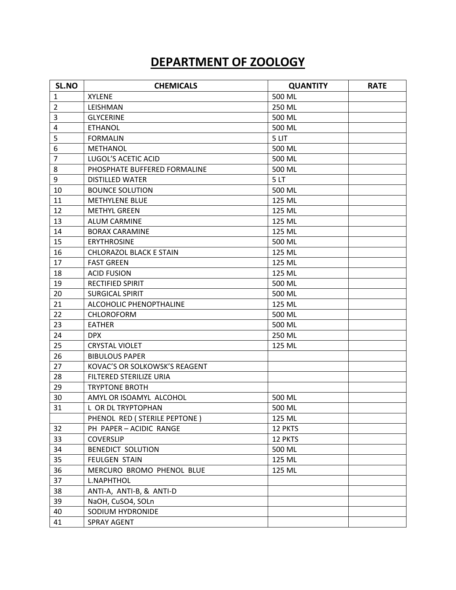# **DEPARTMENT OF ZOOLOGY**

| SL.NO          | <b>CHEMICALS</b>               | <b>QUANTITY</b> | <b>RATE</b> |
|----------------|--------------------------------|-----------------|-------------|
| $\mathbf{1}$   | <b>XYLENE</b>                  | 500 ML          |             |
| $\overline{2}$ | LEISHMAN                       | 250 ML          |             |
| 3              | <b>GLYCERINE</b>               | 500 ML          |             |
| 4              | <b>ETHANOL</b>                 | 500 ML          |             |
| 5              | <b>FORMALIN</b>                | 5 LIT           |             |
| 6              | <b>METHANOL</b>                | 500 ML          |             |
| $\overline{7}$ | LUGOL'S ACETIC ACID            | 500 ML          |             |
| 8              | PHOSPHATE BUFFERED FORMALINE   | 500 ML          |             |
| 9              | <b>DISTILLED WATER</b>         | 5LT             |             |
| 10             | <b>BOUNCE SOLUTION</b>         | 500 ML          |             |
| 11             | <b>METHYLENE BLUE</b>          | 125 ML          |             |
| 12             | <b>METHYL GREEN</b>            | 125 ML          |             |
| 13             | <b>ALUM CARMINE</b>            | 125 ML          |             |
| 14             | <b>BORAX CARAMINE</b>          | 125 ML          |             |
| 15             | <b>ERYTHROSINE</b>             | 500 ML          |             |
| 16             | <b>CHLORAZOL BLACK E STAIN</b> | 125 ML          |             |
| 17             | <b>FAST GREEN</b>              | 125 ML          |             |
| 18             | <b>ACID FUSION</b>             | 125 ML          |             |
| 19             | <b>RECTIFIED SPIRIT</b>        | 500 ML          |             |
| 20             | <b>SURGICAL SPIRIT</b>         | 500 ML          |             |
| 21             | ALCOHOLIC PHENOPTHALINE        | 125 ML          |             |
| 22             | <b>CHLOROFORM</b>              | 500 ML          |             |
| 23             | <b>EATHER</b>                  | 500 ML          |             |
| 24             | DPX.                           | 250 ML          |             |
| 25             | <b>CRYSTAL VIOLET</b>          | 125 ML          |             |
| 26             | <b>BIBULOUS PAPER</b>          |                 |             |
| 27             | KOVAC'S OR SOLKOWSK'S REAGENT  |                 |             |
| 28             | FILTERED STERILIZE URIA        |                 |             |
| 29             | <b>TRYPTONE BROTH</b>          |                 |             |
| 30             | AMYL OR ISOAMYL ALCOHOL        | 500 ML          |             |
| 31             | L OR DL TRYPTOPHAN             | 500 ML          |             |
|                | PHENOL RED (STERILE PEPTONE)   | 125 ML          |             |
| 32             | PH PAPER - ACIDIC RANGE        | 12 PKTS         |             |
| 33             | <b>COVERSLIP</b>               | 12 PKTS         |             |
| 34             | <b>BENEDICT SOLUTION</b>       | 500 ML          |             |
| 35             | <b>FEULGEN STAIN</b>           | 125 ML          |             |
| 36             | MERCURO BROMO PHENOL BLUE      | 125 ML          |             |
| 37             | <b>L.NAPHTHOL</b>              |                 |             |
| 38             | ANTI-A, ANTI-B, & ANTI-D       |                 |             |
| 39             | NaOH, CuSO4, SOLn              |                 |             |
| 40             | SODIUM HYDRONIDE               |                 |             |
| 41             | <b>SPRAY AGENT</b>             |                 |             |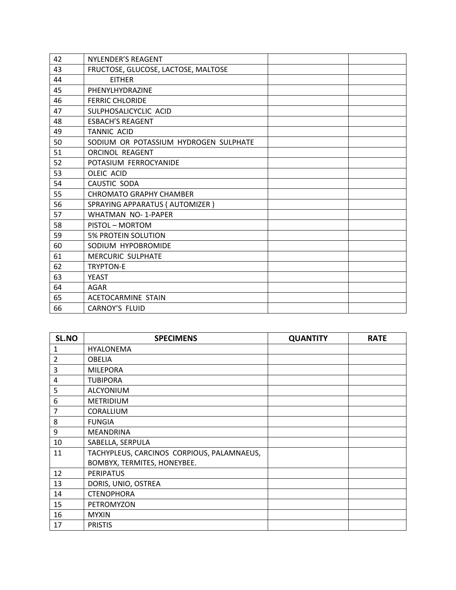| 42 | NYLENDER'S REAGENT                    |  |
|----|---------------------------------------|--|
| 43 | FRUCTOSE, GLUCOSE, LACTOSE, MALTOSE   |  |
| 44 | <b>EITHER</b>                         |  |
| 45 | PHENYLHYDRAZINE                       |  |
| 46 | <b>FERRIC CHLORIDE</b>                |  |
| 47 | SULPHOSALICYCLIC ACID                 |  |
| 48 | <b>ESBACH'S REAGENT</b>               |  |
| 49 | <b>TANNIC ACID</b>                    |  |
| 50 | SODIUM OR POTASSIUM HYDROGEN SULPHATE |  |
| 51 | <b>ORCINOL REAGENT</b>                |  |
| 52 | POTASIUM FERROCYANIDE                 |  |
| 53 | <b>OLEIC ACID</b>                     |  |
| 54 | CAUSTIC SODA                          |  |
| 55 | <b>CHROMATO GRAPHY CHAMBER</b>        |  |
| 56 | SPRAYING APPARATUS (AUTOMIZER)        |  |
| 57 | <b>WHATMAN NO-1-PAPER</b>             |  |
| 58 | PISTOL - MORTOM                       |  |
| 59 | <b>5% PROTEIN SOLUTION</b>            |  |
| 60 | SODIUM HYPOBROMIDE                    |  |
| 61 | <b>MERCURIC SULPHATE</b>              |  |
| 62 | <b>TRYPTON-E</b>                      |  |
| 63 | <b>YEAST</b>                          |  |
| 64 | AGAR                                  |  |
| 65 | <b>ACETOCARMINE STAIN</b>             |  |
| 66 | <b>CARNOY'S FLUID</b>                 |  |

| SL.NO          | <b>SPECIMENS</b>                           | <b>QUANTITY</b> | <b>RATE</b> |
|----------------|--------------------------------------------|-----------------|-------------|
| 1              | <b>HYALONEMA</b>                           |                 |             |
| $\overline{2}$ | <b>OBELIA</b>                              |                 |             |
| 3              | <b>MILEPORA</b>                            |                 |             |
| 4              | <b>TUBIPORA</b>                            |                 |             |
| 5              | ALCYONIUM                                  |                 |             |
| 6              | <b>METRIDIUM</b>                           |                 |             |
| $\overline{7}$ | CORALLIUM                                  |                 |             |
| 8              | <b>FUNGIA</b>                              |                 |             |
| 9              | <b>MEANDRINA</b>                           |                 |             |
| 10             | SABELLA, SERPULA                           |                 |             |
| 11             | TACHYPLEUS, CARCINOS CORPIOUS, PALAMNAEUS, |                 |             |
|                | BOMBYX, TERMITES, HONEYBEE.                |                 |             |
| 12             | <b>PERIPATUS</b>                           |                 |             |
| 13             | DORIS, UNIO, OSTREA                        |                 |             |
| 14             | <b>CTENOPHORA</b>                          |                 |             |
| 15             | PETROMYZON                                 |                 |             |
| 16             | <b>MYXIN</b>                               |                 |             |
| 17             | <b>PRISTIS</b>                             |                 |             |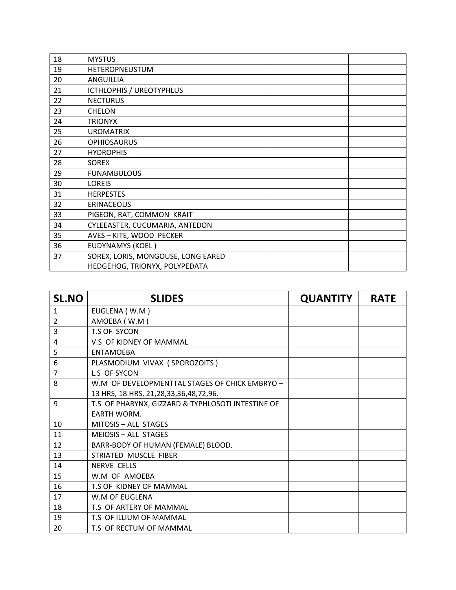| 18 | <b>MYSTUS</b>                      |  |
|----|------------------------------------|--|
| 19 | HETEROPNEUSTUM                     |  |
| 20 | ANGUILLIA                          |  |
| 21 | ICTHLOPHIS / UREOTYPHLUS           |  |
| 22 | <b>NECTURUS</b>                    |  |
| 23 | <b>CHELON</b>                      |  |
| 24 | <b>TRIONYX</b>                     |  |
| 25 | <b>UROMATRIX</b>                   |  |
| 26 | <b>OPHIOSAURUS</b>                 |  |
| 27 | <b>HYDROPHIS</b>                   |  |
| 28 | <b>SOREX</b>                       |  |
| 29 | <b>FUNAMBULOUS</b>                 |  |
| 30 | <b>LOREIS</b>                      |  |
| 31 | <b>HERPESTES</b>                   |  |
| 32 | <b>ERINACEOUS</b>                  |  |
| 33 | PIGEON, RAT, COMMON KRAIT          |  |
| 34 | CYLEEASTER, CUCUMARIA, ANTEDON     |  |
| 35 | AVES - KITE, WOOD PECKER           |  |
| 36 | <b>EUDYNAMYS (KOEL)</b>            |  |
| 37 | SOREX, LORIS, MONGOUSE, LONG EARED |  |
|    | HEDGEHOG, TRIONYX, POLYPEDATA      |  |

| <b>SL.NO</b>   | <b>SLIDES</b>                                     | <b>QUANTITY</b> | <b>RATE</b> |
|----------------|---------------------------------------------------|-----------------|-------------|
| $\mathbf{1}$   | EUGLENA (W.M)                                     |                 |             |
| $\overline{2}$ | AMOEBA (W.M)                                      |                 |             |
| 3              | T.S OF SYCON                                      |                 |             |
| 4              | V.S OF KIDNEY OF MAMMAL                           |                 |             |
| 5              | <b>ENTAMOEBA</b>                                  |                 |             |
| 6              | PLASMODIUM VIVAX (SPOROZOITS)                     |                 |             |
| $\overline{7}$ | L.S OF SYCON                                      |                 |             |
| 8              | W.M OF DEVELOPMENTTAL STAGES OF CHICK EMBRYO -    |                 |             |
|                | 13 HRS, 18 HRS, 21, 28, 33, 36, 48, 72, 96.       |                 |             |
| 9              | T.S OF PHARYNX, GIZZARD & TYPHLOSOTI INTESTINE OF |                 |             |
|                | <b>EARTH WORM.</b>                                |                 |             |
| 10             | MITOSIS - ALL STAGES                              |                 |             |
| 11             | <b>MEIOSIS - ALL STAGES</b>                       |                 |             |
| 12             | BARR-BODY OF HUMAN (FEMALE) BLOOD.                |                 |             |
| 13             | STRIATED MUSCLE FIBER                             |                 |             |
| 14             | <b>NERVE CELLS</b>                                |                 |             |
| 15             | W.M OF AMOEBA                                     |                 |             |
| 16             | T.S OF KIDNEY OF MAMMAL                           |                 |             |
| 17             | W.M OF EUGLENA                                    |                 |             |
| 18             | T.S OF ARTERY OF MAMMAL                           |                 |             |
| 19             | T.S OF ILLIUM OF MAMMAL                           |                 |             |
| 20             | T.S OF RECTUM OF MAMMAL                           |                 |             |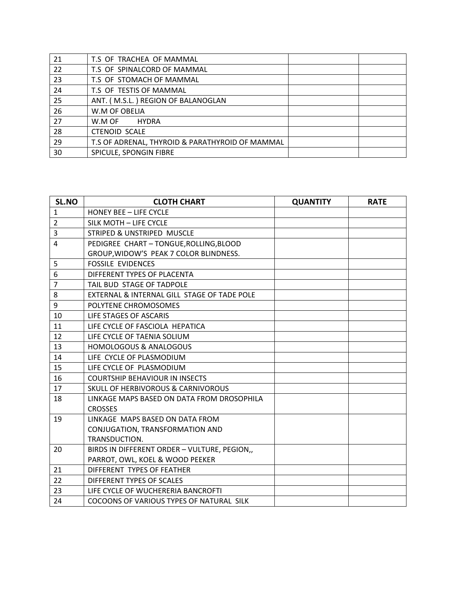| 21 | T.S OF TRACHEA OF MAMMAL                        |  |
|----|-------------------------------------------------|--|
| 22 | T.S OF SPINALCORD OF MAMMAL                     |  |
| 23 | T.S OF STOMACH OF MAMMAL                        |  |
| 24 | T.S OF TESTIS OF MAMMAL                         |  |
| 25 | ANT. (M.S.L.) REGION OF BALANOGLAN              |  |
| 26 | W.M OF OBELIA                                   |  |
| 27 | W.M OF<br><b>HYDRA</b>                          |  |
| 28 | <b>CTENOID SCALE</b>                            |  |
| 29 | T.S OF ADRENAL, THYROID & PARATHYROID OF MAMMAL |  |
| 30 | SPICULE, SPONGIN FIBRE                          |  |

| SL.NO          | <b>CLOTH CHART</b>                            | <b>QUANTITY</b> | <b>RATE</b> |
|----------------|-----------------------------------------------|-----------------|-------------|
| $\mathbf{1}$   | <b>HONEY BEE - LIFE CYCLE</b>                 |                 |             |
| $\overline{2}$ | SILK MOTH - LIFE CYCLE                        |                 |             |
| 3              | STRIPED & UNSTRIPED MUSCLE                    |                 |             |
| 4              | PEDIGREE CHART - TONGUE, ROLLING, BLOOD       |                 |             |
|                | GROUP, WIDOW'S PEAK 7 COLOR BLINDNESS.        |                 |             |
| 5              | <b>FOSSILE EVIDENCES</b>                      |                 |             |
| 6              | DIFFERENT TYPES OF PLACENTA                   |                 |             |
| $\overline{7}$ | TAIL BUD STAGE OF TADPOLE                     |                 |             |
| 8              | EXTERNAL & INTERNAL GILL STAGE OF TADE POLE   |                 |             |
| 9              | POLYTENE CHROMOSOMES                          |                 |             |
| 10             | LIFE STAGES OF ASCARIS                        |                 |             |
| 11             | LIFE CYCLE OF FASCIOLA HEPATICA               |                 |             |
| 12             | LIFE CYCLE OF TAENIA SOLIUM                   |                 |             |
| 13             | <b>HOMOLOGOUS &amp; ANALOGOUS</b>             |                 |             |
| 14             | LIFE CYCLE OF PLASMODIUM                      |                 |             |
| 15             | LIFE CYCLE OF PLASMODIUM                      |                 |             |
| 16             | <b>COURTSHIP BEHAVIOUR IN INSECTS</b>         |                 |             |
| 17             | <b>SKULL OF HERBIVOROUS &amp; CARNIVOROUS</b> |                 |             |
| 18             | LINKAGE MAPS BASED ON DATA FROM DROSOPHILA    |                 |             |
|                | <b>CROSSES</b>                                |                 |             |
| 19             | LINKAGE MAPS BASED ON DATA FROM               |                 |             |
|                | CONJUGATION, TRANSFORMATION AND               |                 |             |
|                | TRANSDUCTION.                                 |                 |             |
| 20             | BIRDS IN DIFFERENT ORDER - VULTURE, PEGION,,  |                 |             |
|                | PARROT, OWL, KOEL & WOOD PEEKER               |                 |             |
| 21             | DIFFERENT TYPES OF FEATHER                    |                 |             |
| 22             | DIFFERENT TYPES OF SCALES                     |                 |             |
| 23             | LIFE CYCLE OF WUCHERERIA BANCROFTI            |                 |             |
| 24             | COCOONS OF VARIOUS TYPES OF NATURAL SILK      |                 |             |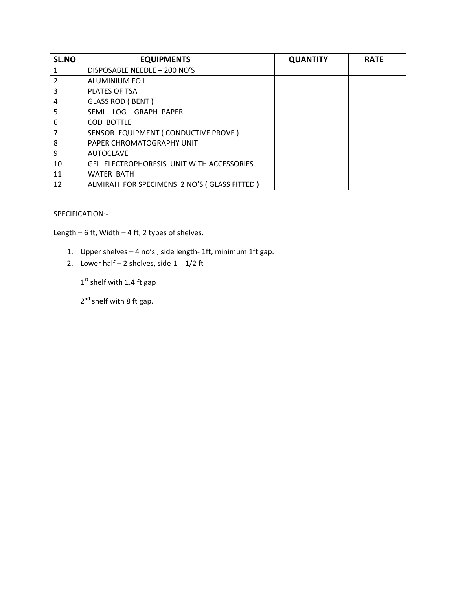| SL.NO          | <b>EQUIPMENTS</b>                           | <b>QUANTITY</b> | <b>RATE</b> |
|----------------|---------------------------------------------|-----------------|-------------|
|                | DISPOSABLE NEEDLE - 200 NO'S                |                 |             |
| $\overline{2}$ | <b>ALUMINIUM FOIL</b>                       |                 |             |
| 3              | PLATES OF TSA                               |                 |             |
| 4              | <b>GLASS ROD (BENT)</b>                     |                 |             |
| 5              | SEMI-LOG-GRAPH PAPER                        |                 |             |
| 6              | COD BOTTLE                                  |                 |             |
|                | SENSOR EQUIPMENT (CONDUCTIVE PROVE)         |                 |             |
| 8              | PAPER CHROMATOGRAPHY UNIT                   |                 |             |
| 9              | <b>AUTOCLAVE</b>                            |                 |             |
| 10             | GEL ELECTROPHORESIS UNIT WITH ACCESSORIES   |                 |             |
| 11             | <b>WATER BATH</b>                           |                 |             |
| 12             | ALMIRAH FOR SPECIMENS 2 NO'S (GLASS FITTED) |                 |             |

#### SPECIFICATION:-

Length – 6 ft, Width – 4 ft, 2 types of shelves.

- 1. Upper shelves 4 no's , side length- 1ft, minimum 1ft gap.
- 2. Lower half  $-2$  shelves, side-1  $1/2$  ft

 $1<sup>st</sup>$  shelf with 1.4 ft gap

2<sup>nd</sup> shelf with 8 ft gap.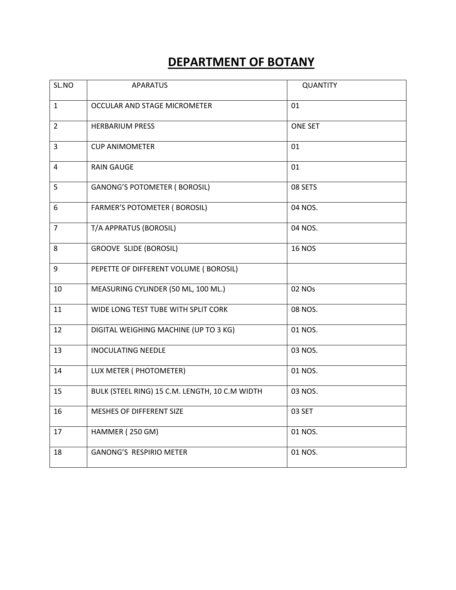| SL.NO          | <b>APARATUS</b>                                | <b>QUANTITY</b> |
|----------------|------------------------------------------------|-----------------|
| $\mathbf{1}$   | OCCULAR AND STAGE MICROMETER                   | 01              |
| $\overline{2}$ | <b>HERBARIUM PRESS</b>                         | <b>ONE SET</b>  |
| 3              | <b>CUP ANIMOMETER</b>                          | 01              |
| $\overline{4}$ | <b>RAIN GAUGE</b>                              | 01              |
| 5              | <b>GANONG'S POTOMETER ( BOROSIL)</b>           | 08 SETS         |
| 6              | <b>FARMER'S POTOMETER (BOROSIL)</b>            | 04 NOS.         |
| $\overline{7}$ | T/A APPRATUS (BOROSIL)                         | 04 NOS.         |
| 8              | <b>GROOVE SLIDE (BOROSIL)</b>                  | <b>16 NOS</b>   |
| 9              | PEPETTE OF DIFFERENT VOLUME (BOROSIL)          |                 |
| 10             | MEASURING CYLINDER (50 ML, 100 ML.)            | 02 NOs          |
| 11             | WIDE LONG TEST TUBE WITH SPLIT CORK            | 08 NOS.         |
| 12             | DIGITAL WEIGHING MACHINE (UP TO 3 KG)          | 01 NOS.         |
| 13             | <b>INOCULATING NEEDLE</b>                      | 03 NOS.         |
| 14             | LUX METER ( PHOTOMETER)                        | 01 NOS.         |
| 15             | BULK (STEEL RING) 15 C.M. LENGTH, 10 C.M WIDTH | 03 NOS.         |
| 16             | MESHES OF DIFFERENT SIZE                       | 03 SET          |
| 17             | HAMMER (250 GM)                                | 01 NOS.         |
| 18             | <b>GANONG'S RESPIRIO METER</b>                 | 01 NOS.         |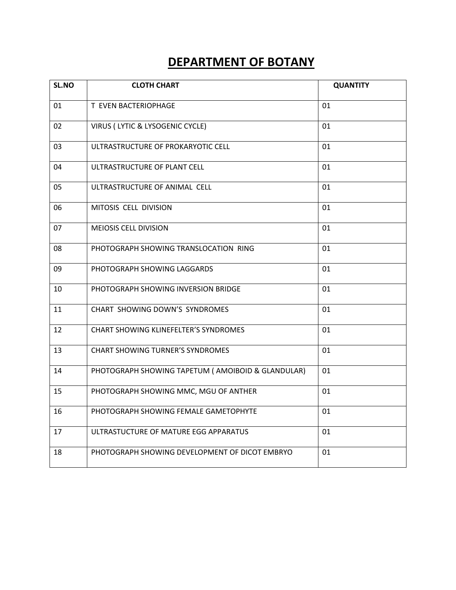| SL.NO | <b>CLOTH CHART</b>                                 | <b>QUANTITY</b> |
|-------|----------------------------------------------------|-----------------|
| 01    | T EVEN BACTERIOPHAGE                               | 01              |
| 02    | VIRUS (LYTIC & LYSOGENIC CYCLE)                    | 01              |
| 03    | ULTRASTRUCTURE OF PROKARYOTIC CELL                 | 01              |
| 04    | ULTRASTRUCTURE OF PLANT CELL                       | 01              |
| 05    | ULTRASTRUCTURE OF ANIMAL CELL                      | 01              |
| 06    | MITOSIS CELL DIVISION                              | 01              |
| 07    | <b>MEIOSIS CELL DIVISION</b>                       | 01              |
| 08    | PHOTOGRAPH SHOWING TRANSLOCATION RING              | 01              |
| 09    | PHOTOGRAPH SHOWING LAGGARDS                        | 01              |
| 10    | PHOTOGRAPH SHOWING INVERSION BRIDGE                | 01              |
| 11    | CHART SHOWING DOWN'S SYNDROMES                     | 01              |
| 12    | <b>CHART SHOWING KLINEFELTER'S SYNDROMES</b>       | 01              |
| 13    | <b>CHART SHOWING TURNER'S SYNDROMES</b>            | 01              |
| 14    | PHOTOGRAPH SHOWING TAPETUM ( AMOIBOID & GLANDULAR) | 01              |
| 15    | PHOTOGRAPH SHOWING MMC, MGU OF ANTHER              | 01              |
| 16    | PHOTOGRAPH SHOWING FEMALE GAMETOPHYTE              | 01              |
| 17    | ULTRASTUCTURE OF MATURE EGG APPARATUS              | 01              |
| 18    | PHOTOGRAPH SHOWING DEVELOPMENT OF DICOT EMBRYO     | 01              |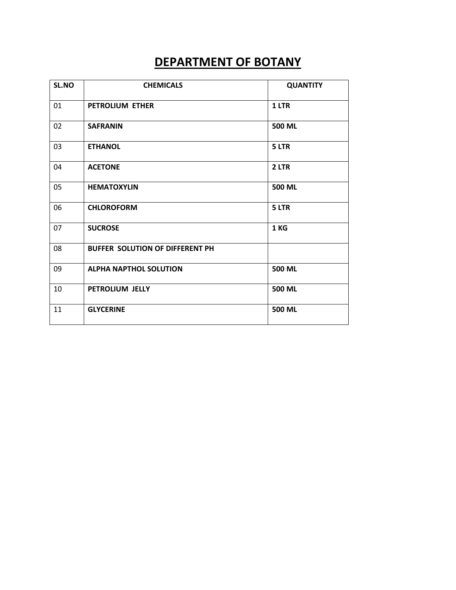| SL.NO | <b>CHEMICALS</b>                | <b>QUANTITY</b> |
|-------|---------------------------------|-----------------|
| 01    | <b>PETROLIUM ETHER</b>          | 1 LTR           |
| 02    | <b>SAFRANIN</b>                 | 500 ML          |
| 03    | <b>ETHANOL</b>                  | 5 LTR           |
| 04    | <b>ACETONE</b>                  | 2 LTR           |
| 05    | <b>HEMATOXYLIN</b>              | 500 ML          |
| 06    | <b>CHLOROFORM</b>               | 5 LTR           |
| 07    | <b>SUCROSE</b>                  | 1 KG            |
| 08    | BUFFER SOLUTION OF DIFFERENT PH |                 |
| 09    | <b>ALPHA NAPTHOL SOLUTION</b>   | 500 ML          |
| 10    | PETROLIUM JELLY                 | 500 ML          |
| 11    | <b>GLYCERINE</b>                | 500 ML          |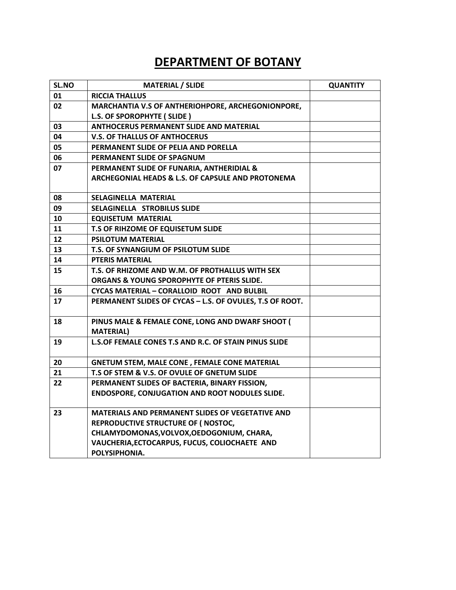| SL.NO | <b>MATERIAL / SLIDE</b>                                      | <b>QUANTITY</b> |
|-------|--------------------------------------------------------------|-----------------|
| 01    | <b>RICCIA THALLUS</b>                                        |                 |
| 02    | MARCHANTIA V.S OF ANTHERIOHPORE, ARCHEGONIONPORE,            |                 |
|       | L.S. OF SPOROPHYTE (SLIDE)                                   |                 |
| 03    | <b>ANTHOCERUS PERMANENT SLIDE AND MATERIAL</b>               |                 |
| 04    | <b>V.S. OF THALLUS OF ANTHOCERUS</b>                         |                 |
| 05    | PERMANENT SLIDE OF PELIA AND PORELLA                         |                 |
| 06    | PERMANENT SLIDE OF SPAGNUM                                   |                 |
| 07    | PERMANENT SLIDE OF FUNARIA, ANTHERIDIAL &                    |                 |
|       | ARCHEGONIAL HEADS & L.S. OF CAPSULE AND PROTONEMA            |                 |
|       |                                                              |                 |
| 08    | <b>SELAGINELLA MATERIAL</b>                                  |                 |
| 09    | SELAGINELLA STROBILUS SLIDE                                  |                 |
| 10    | <b>EQUISETUM MATERIAL</b>                                    |                 |
| 11    | T.S OF RIHZOME OF EQUISETUM SLIDE                            |                 |
| 12    | <b>PSILOTUM MATERIAL</b>                                     |                 |
| 13    | T.S. OF SYNANGIUM OF PSILOTUM SLIDE                          |                 |
| 14    | <b>PTERIS MATERIAL</b>                                       |                 |
| 15    | T.S. OF RHIZOME AND W.M. OF PROTHALLUS WITH SEX              |                 |
|       | ORGANS & YOUNG SPOROPHYTE OF PTERIS SLIDE.                   |                 |
| 16    | CYCAS MATERIAL - CORALLOID ROOT AND BULBIL                   |                 |
| 17    | PERMANENT SLIDES OF CYCAS - L.S. OF OVULES, T.S OF ROOT.     |                 |
| 18    | PINUS MALE & FEMALE CONE, LONG AND DWARF SHOOT               |                 |
|       | <b>MATERIAL)</b>                                             |                 |
| 19    | <b>L.S.OF FEMALE CONES T.S AND R.C. OF STAIN PINUS SLIDE</b> |                 |
|       |                                                              |                 |
| 20    | <b>GNETUM STEM, MALE CONE, FEMALE CONE MATERIAL</b>          |                 |
| 21    | T.S OF STEM & V.S. OF OVULE OF GNETUM SLIDE                  |                 |
| 22    | PERMANENT SLIDES OF BACTERIA, BINARY FISSION,                |                 |
|       | <b>ENDOSPORE, CONJUGATION AND ROOT NODULES SLIDE.</b>        |                 |
| 23    | <b>MATERIALS AND PERMANENT SLIDES OF VEGETATIVE AND</b>      |                 |
|       | REPRODUCTIVE STRUCTURE OF (NOSTOC,                           |                 |
|       | CHLAMYDOMONAS, VOLVOX, OEDOGONIUM, CHARA,                    |                 |
|       | VAUCHERIA, ECTOCARPUS, FUCUS, COLIOCHAETE AND                |                 |
|       | POLYSIPHONIA.                                                |                 |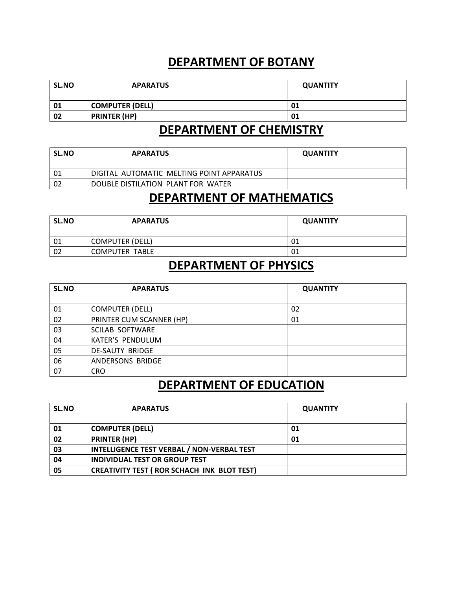| SL.NO | <b>APARATUS</b>        | <b>QUANTITY</b> |
|-------|------------------------|-----------------|
| 01    | <b>COMPUTER (DELL)</b> | 01              |
| 02    | <b>PRINTER (HP)</b>    | 01              |

#### **DEPARTMENT OF CHEMISTRY**

| <b>SL.NO</b> | <b>APARATUS</b>                           | <b>QUANTITY</b> |
|--------------|-------------------------------------------|-----------------|
| 01           | DIGITAL AUTOMATIC MELTING POINT APPARATUS |                 |
| 02           | DOUBLE DISTILATION PLANT FOR WATER        |                 |

#### **DEPARTMENT OF MATHEMATICS**

| SL.NO | <b>APARATUS</b>        | <b>QUANTITY</b> |
|-------|------------------------|-----------------|
| 01    | <b>COMPUTER (DELL)</b> | 01              |
| 02    | <b>COMPUTER TABLE</b>  | 01              |

#### **DEPARTMENT OF PHYSICS**

| SL.NO | <b>APARATUS</b>          | <b>QUANTITY</b> |
|-------|--------------------------|-----------------|
|       |                          |                 |
| 01    | <b>COMPUTER (DELL)</b>   | 02              |
| 02    | PRINTER CUM SCANNER (HP) | 01              |
| 03    | <b>SCILAB SOFTWARE</b>   |                 |
| 04    | <b>KATER'S PENDULUM</b>  |                 |
| 05    | DE-SAUTY BRIDGE          |                 |
| 06    | ANDERSONS BRIDGE         |                 |
| 07    | <b>CRO</b>               |                 |

#### **DEPARTMENT OF EDUCATION**

| SL.NO | <b>APARATUS</b>                                    | <b>QUANTITY</b> |
|-------|----------------------------------------------------|-----------------|
|       |                                                    |                 |
| 01    | <b>COMPUTER (DELL)</b>                             | 01              |
| 02    | <b>PRINTER (HP)</b>                                | 01              |
| 03    | <b>INTELLIGENCE TEST VERBAL / NON-VERBAL TEST</b>  |                 |
| 04    | <b>INDIVIDUAL TEST OR GROUP TEST</b>               |                 |
| 05    | <b>CREATIVITY TEST ( ROR SCHACH INK BLOT TEST)</b> |                 |